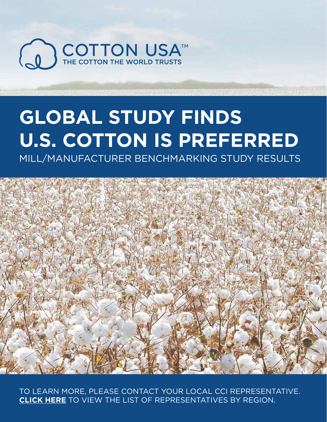

# **GLOBAL STUDY FINDS U.S. COTTON IS PREFERRED**

MILL/MANUFACTURER BENCHMARKING STUDY RESULTS



TO LEARN MORE, PLEASE CONTACT YOUR LOCAL CCI REPRESENTATIVE. **CLICK HERE** TO VIEW THE LIST OF REPRESENTATIVES BY REGION.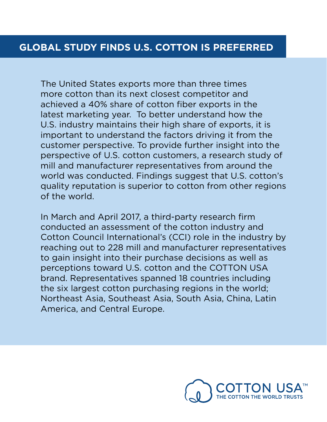The United States exports more than three times more cotton than its next closest competitor and achieved a 40% share of cotton fiber exports in the latest marketing year. To better understand how the U.S. industry maintains their high share of exports, it is important to understand the factors driving it from the customer perspective. To provide further insight into the perspective of U.S. cotton customers, a research study of mill and manufacturer representatives from around the world was conducted. Findings suggest that U.S. cotton's quality reputation is superior to cotton from other regions of the world.

In March and April 2017, a third-party research firm conducted an assessment of the cotton industry and Cotton Council International's (CCI) role in the industry by reaching out to 228 mill and manufacturer representatives to gain insight into their purchase decisions as well as perceptions toward U.S. cotton and the COTTON USA brand. Representatives spanned 18 countries including the six largest cotton purchasing regions in the world; Northeast Asia, Southeast Asia, South Asia, China, Latin America, and Central Europe.

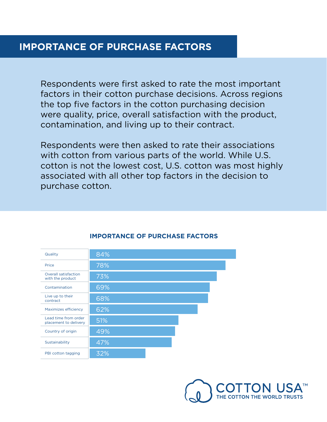#### **IMPORTANCE OF PURCHASE FACTORS**

Respondents were first asked to rate the most important factors in their cotton purchase decisions. Across regions the top five factors in the cotton purchasing decision were quality, price, overall satisfaction with the product, contamination, and living up to their contract.

Respondents were then asked to rate their associations with cotton from various parts of the world. While U.S. cotton is not the lowest cost, U.S. cotton was most highly associated with all other top factors in the decision to purchase cotton.

| Quality                                         | 84% |
|-------------------------------------------------|-----|
| Price                                           | 78% |
| <b>Overall satisfaction</b><br>with the product | 73% |
| Contamination                                   | 69% |
| Live up to their<br>contract                    | 68% |
| Maximizes efficiency                            | 62% |
| Lead time from order<br>placement to delivery   | 51% |
| Country of origin                               | 49% |
| Sustainability                                  | 47% |
| PBI cotton tagging                              | 32% |

#### **IMPORTANCE OF PURCHASE FACTORS**

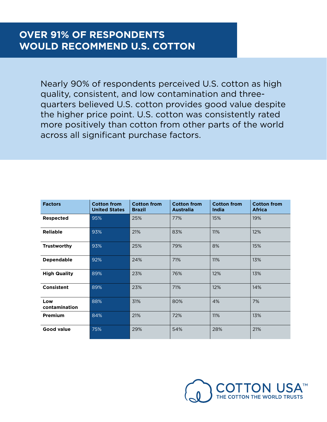### **OVER 91% OF RESPONDENTS WOULD RECOMMEND U.S. COTTON**

Nearly 90% of respondents perceived U.S. cotton as high quality, consistent, and low contamination and threequarters believed U.S. cotton provides good value despite the higher price point. U.S. cotton was consistently rated more positively than cotton from other parts of the world across all significant purchase factors.

| <b>Factors</b>       | <b>Cotton from</b><br><b>United States</b> | <b>Cotton from</b><br><b>Brazil</b> | <b>Cotton from</b><br><b>Australia</b> | <b>Cotton from</b><br><b>India</b> | <b>Cotton from</b><br><b>Africa</b> |
|----------------------|--------------------------------------------|-------------------------------------|----------------------------------------|------------------------------------|-------------------------------------|
| <b>Respected</b>     | 95%                                        | 25%                                 | 77%                                    | 15%                                | 19%                                 |
| Reliable             | 93%                                        | 21%                                 | 83%                                    | 11%                                | 12%                                 |
| <b>Trustworthy</b>   | 93%                                        | 25%                                 | 79%                                    | 8%                                 | 15%                                 |
| <b>Dependable</b>    | 92%                                        | 24%                                 | 71%                                    | 11%                                | 13%                                 |
| <b>High Quality</b>  | 89%                                        | 23%                                 | 76%                                    | 12%                                | 13%                                 |
| Consistent           | 89%                                        | 23%                                 | 71%                                    | 12%                                | 14%                                 |
| Low<br>contamination | 88%                                        | 31%                                 | 80%                                    | 4%                                 | 7%                                  |
| Premium              | 84%                                        | 21%                                 | 72%                                    | 11%                                | 13%                                 |
| <b>Good value</b>    | 75%                                        | 29%                                 | 54%                                    | 28%                                | 21%                                 |

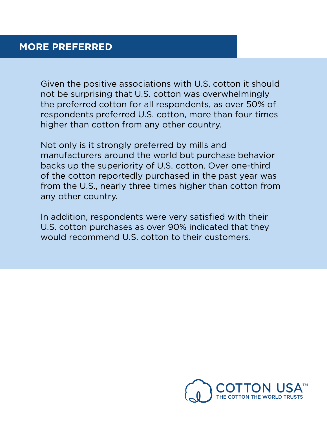### **MORE PREFERRED**

Given the positive associations with U.S. cotton it should not be surprising that U.S. cotton was overwhelmingly the preferred cotton for all respondents, as over 50% of respondents preferred U.S. cotton, more than four times higher than cotton from any other country.

Not only is it strongly preferred by mills and manufacturers around the world but purchase behavior backs up the superiority of U.S. cotton. Over one-third of the cotton reportedly purchased in the past year was from the U.S., nearly three times higher than cotton from any other country.

In addition, respondents were very satisfied with their U.S. cotton purchases as over 90% indicated that they would recommend U.S. cotton to their customers.

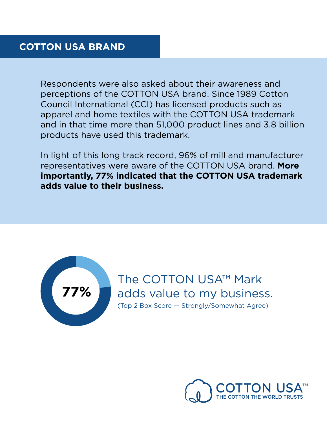## **COTTON USA BRAND**

Respondents were also asked about their awareness and perceptions of the COTTON USA brand. Since 1989 Cotton Council International (CCI) has licensed products such as apparel and home textiles with the COTTON USA trademark and in that time more than 51,000 product lines and 3.8 billion products have used this trademark.

In light of this long track record, 96% of mill and manufacturer representatives were aware of the COTTON USA brand. **More importantly, 77% indicated that the COTTON USA trademark adds value to their business.**



The COTTON USA™ Mark adds value to my business. (Top 2 Box Score — Strongly/Somewhat Agree)